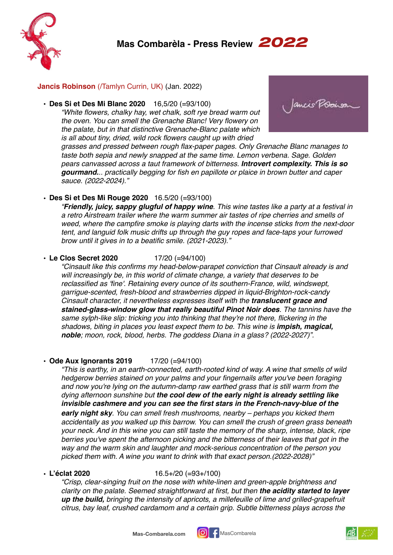

## **Jancis Robinson** (/Tamlyn Currin, UK) (Jan. 2022)

**• Des Si et Des Mi Blanc 2020** 16,5/20 (=93/100)

*"White flowers, chalky hay, wet chalk, soft rye bread warm out the oven. You can smell the Grenache Blanc! Very flowery on the palate, but in that distinctive Grenache-Blanc palate which is all about tiny, dried, wild rock flowers caught up with dried* 



*grasses and pressed between rough flax-paper pages. Only Grenache Blanc manages to taste both sepia and newly snapped at the same time. Lemon verbena. Sage. Golden pears canvassed across a taut framework of bitterness. Introvert complexity. This is so gourmand... practically begging for fish en papillote or plaice in brown butter and caper sauce. (2022-2024)."*

# • **Des Si et Des Mi Rouge 2020** 16.5/20 (=93/100)

*"Friendly, juicy, sappy glugful of happy wine. This wine tastes like a party at a festival in a retro Airstream trailer where the warm summer air tastes of ripe cherries and smells of weed, where the campfire smoke is playing darts with the incense sticks from the next-door tent, and languid folk music drifts up through the guy ropes and face-taps your furrowed brow until it gives in to a beatific smile. (2021-2023)."*

# • **Le Clos Secret 2020** 17/20 (=94/100)

*"Cinsault like this confirms my head-below-parapet conviction that Cinsault already is and will increasingly be, in this world of climate change, a variety that deserves to be reclassified as 'fine'. Retaining every ounce of its southern-France, wild, windswept, garrigue-scented, fresh-blood and strawberries dipped in liquid-Brighton-rock-candy Cinsault character, it nevertheless expresses itself with the translucent grace and stained-glass-window glow that really beautiful Pinot Noir does. The tannins have the same sylph-like slip: tricking you into thinking that they're not there, flickering in the shadows, biting in places you least expect them to be. This wine is impish, magical, noble; moon, rock, blood, herbs. The goddess Diana in a glass? (2022-2027)".*

# • **Ode Aux Ignorants 2019** 17/20 (=94/100)

*"This is earthy, in an earth-connected, earth-rooted kind of way. A wine that smells of wild hedgerow berries stained on your palms and your fingernails after you've been foraging and now you're lying on the autumn-damp raw earthed grass that is still warm from the dying afternoon sunshine but the cool dew of the early night is already settling like invisible cashmere and you can see the first stars in the French-navy-blue of the early night sky. You can smell fresh mushrooms, nearby – perhaps you kicked them accidentally as you walked up this barrow. You can smell the crush of green grass beneath your neck. And in this wine you can still taste the memory of the sharp, intense, black, ripe berries you've spent the afternoon picking and the bitterness of their leaves that got in the way and the warm skin and laughter and mock-serious concentration of the person you picked them with. A wine you want to drink with that exact person.(2022-2028)"*

#### • **L'éclat 2020** 16.5+/20 (=93+/100)

*"Crisp, clear-singing fruit on the nose with white-linen and green-apple brightness and clarity on the palate. Seemed straightforward at first, but then the acidity started to layer up the build, bringing the intensity of apricots, a millefeuille of lime and grilled-grapefruit citrus, bay leaf, crushed cardamom and a certain grip. Subtle bitterness plays across the* 



$$
\mathbb{A}\mathbb{B} \big| \mathcal{Z} \mathcal{I}
$$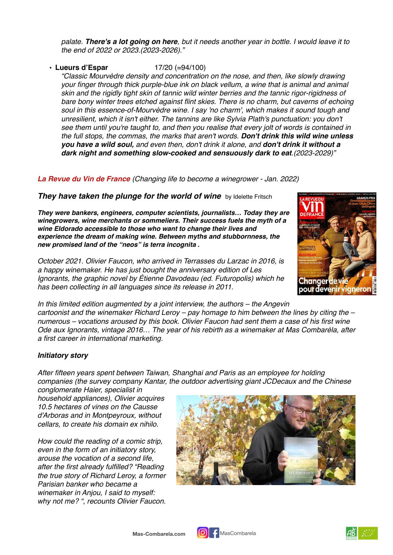*palate. There's a lot going on here, but it needs another year in bottle. I would leave it to the end of 2022 or 2023.(2023-2026)."*

## • **Lueurs d'Espar** 17/20 (=94/100)

*"Classic Mourvèdre density and concentration on the nose, and then, like slowly drawing your finger through thick purple-blue ink on black vellum, a wine that is animal and animal skin and the rigidly tight skin of tannic wild winter berries and the tannic rigor-rigidness of bare bony winter trees etched against flint skies. There is no charm, but caverns of echoing soul in this essence-of-Mourvèdre wine. I say 'no charm', which makes it sound tough and unresilient, which it isn't either. The tannins are like Sylvia Plath's punctuation: you don't see them until you're taught to, and then you realise that every jolt of words is contained in the full stops, the commas, the marks that aren't words. Don't drink this wild wine unless you have a wild soul, and even then, don't drink it alone, and don't drink it without a dark night and something slow-cooked and sensuously dark to eat.(2023-2029)"*

## *La Revue du Vin de France (Changing life to become a winegrower - Jan. 2022)*

### *They have taken the plunge for the world of wine* by Idelette Fritsch

*They were bankers, engineers, computer scientists, journalists… Today they are winegrowers, wine merchants or sommeliers. Their success fuels the myth of a wine Eldorado accessible to those who want to change their lives and experience the dream of making wine. Between myths and stubbornness, the new promised land of the "neos" is terra incognita .*

*October 2021. Olivier Faucon, who arrived in Terrasses du Larzac in 2016, is a happy winemaker. He has just bought the anniversary edition of Les Ignorants, the graphic novel by Étienne Davodeau (ed. Futuropolis) which he has been collecting in all languages since its release in 2011.*



*In this limited edition augmented by a joint interview, the authors – the Angevin cartoonist and the winemaker Richard Leroy – pay homage to him between the lines by citing the – numerous – vocations aroused by this book. Olivier Faucon had sent them a case of his first wine Ode aux Ignorants, vintage 2016… The year of his rebirth as a winemaker at Mas Combarèla, after a first career in international marketing.* 

#### *Initiatory story*

*After fifteen years spent between Taiwan, Shanghai and Paris as an employee for holding companies (the survey company Kantar, the outdoor advertising giant JCDecaux and the Chinese*

*conglomerate Haier, specialist in household appliances), Olivier acquires 10.5 hectares of vines on the Causse d'Arboras and in Montpeyroux, without cellars, to create his domain ex nihilo.*

*How could the reading of a comic strip, even in the form of an initiatory story, arouse the vocation of a second life, after the first already fulfilled? "Reading the true story of Richard Leroy, a former Parisian banker who became a winemaker in Anjou, I said to myself: why not me? ", recounts Olivier Faucon.*